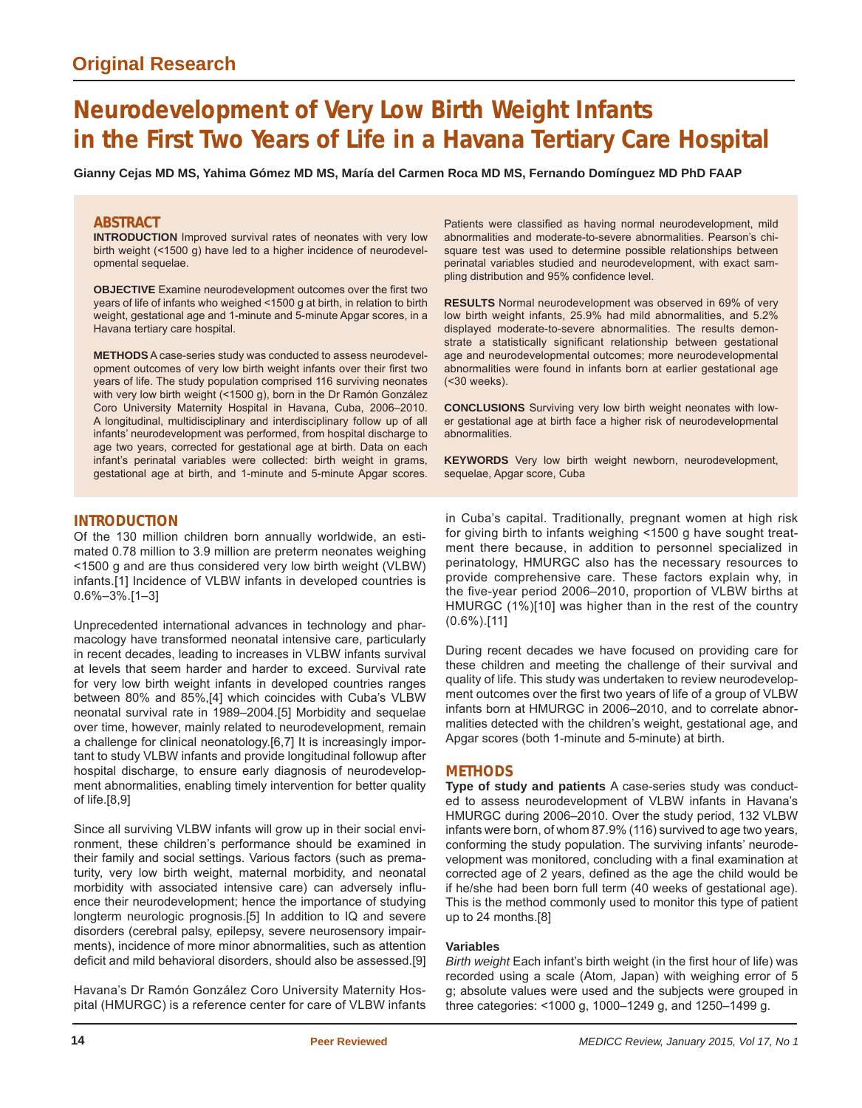# **Neurodevelopment of Very Low Birth Weight Infants in the First Two Years of Life in a Havana Tertiary Care Hospital**

**Gianny Cejas MD MS, Yahima Gómez MD MS, María del Carmen Roca MD MS, Fernando Domínguez MD PhD FAAP**

# **ABSTRACT**

**INTRODUCTION** Improved survival rates of neonates with very low birth weight (<1500 g) have led to a higher incidence of neurodevelopmental sequelae.

**OBJECTIVE** Examine neurodevelopment outcomes over the first two years of life of infants who weighed <1500 g at birth, in relation to birth weight, gestational age and 1-minute and 5-minute Apgar scores, in a Havana tertiary care hospital.

**METHODS** A case-series study was conducted to assess neurodevelopment outcomes of very low birth weight infants over their first two years of life. The study population comprised 116 surviving neonates with very low birth weight (<1500 g), born in the Dr Ramón González Coro University Maternity Hospital in Havana, Cuba, 2006–2010. A longitudinal, multidisciplinary and interdisciplinary follow up of all infants' neurodevelopment was performed, from hospital discharge to age two years, corrected for gestational age at birth. Data on each infant's perinatal variables were collected: birth weight in grams, gestational age at birth, and 1-minute and 5-minute Apgar scores.

Patients were classified as having normal neurodevelopment, mild abnormalities and moderate-to-severe abnormalities. Pearson's chisquare test was used to determine possible relationships between perinatal variables studied and neurodevelopment, with exact sampling distribution and 95% confidence level.

**RESULTS** Normal neurodevelopment was observed in 69% of very low birth weight infants, 25.9% had mild abnormalities, and 5.2% displayed moderate-to-severe abnormalities. The results demonstrate a statistically significant relationship between gestational age and neurodevelopmental outcomes; more neurodevelopmental abnormalities were found in infants born at earlier gestational age (<30 weeks).

**CONCLUSIONS** Surviving very low birth weight neonates with lower gestational age at birth face a higher risk of neurodevelopmental abnormalities.

**KEYWORDS** Very low birth weight newborn, neurodevelopment, sequelae, Apgar score, Cuba

# **INTRODUCTION**

Of the 130 million children born annually worldwide, an estimated 0.78 million to 3.9 million are preterm neonates weighing <1500 g and are thus considered very low birth weight (VLBW) infants.[1] Incidence of VLBW infants in developed countries is 0.6%–3%.[1–3]

Unprecedented international advances in technology and pharmacology have transformed neonatal intensive care, particularly in recent decades, leading to increases in VLBW infants survival at levels that seem harder and harder to exceed. Survival rate for very low birth weight infants in developed countries ranges between 80% and 85%,[4] which coincides with Cuba's VLBW neonatal survival rate in 1989–2004.[5] Morbidity and sequelae over time, however, mainly related to neurodevelopment, remain a challenge for clinical neonatology.[6,7] It is increasingly important to study VLBW infants and provide longitudinal followup after hospital discharge, to ensure early diagnosis of neurodevelopment abnormalities, enabling timely intervention for better quality of life.[8,9]

Since all surviving VLBW infants will grow up in their social environment, these children's performance should be examined in their family and social settings. Various factors (such as prematurity, very low birth weight, maternal morbidity, and neonatal morbidity with associated intensive care) can adversely influence their neurodevelopment; hence the importance of studying longterm neurologic prognosis.[5] In addition to IQ and severe disorders (cerebral palsy, epilepsy, severe neurosensory impairments), incidence of more minor abnormalities, such as attention deficit and mild behavioral disorders, should also be assessed.[9]

Havana's Dr Ramón González Coro University Maternity Hospital (HMURGC) is a reference center for care of VLBW infants in Cuba's capital. Traditionally, pregnant women at high risk for giving birth to infants weighing <1500 g have sought treatment there because, in addition to personnel specialized in perinatology, HMURGC also has the necessary resources to provide comprehensive care. These factors explain why, in the five-year period 2006-2010, proportion of VLBW births at HMURGC (1%)[10] was higher than in the rest of the country (0.6%).[11]

During recent decades we have focused on providing care for these children and meeting the challenge of their survival and quality of life. This study was undertaken to review neurodevelopment outcomes over the first two years of life of a group of VLBW infants born at HMURGC in 2006–2010, and to correlate abnormalities detected with the children's weight, gestational age, and Apgar scores (both 1-minute and 5-minute) at birth.

## **METHODS**

**Type of study and patients** A case-series study was conducted to assess neurodevelopment of VLBW infants in Havana's HMURGC during 2006–2010. Over the study period, 132 VLBW infants were born, of whom 87.9% (116) survived to age two years, conforming the study population. The surviving infants' neurodevelopment was monitored, concluding with a final examination at corrected age of 2 years, defined as the age the child would be if he/she had been born full term (40 weeks of gestational age). This is the method commonly used to monitor this type of patient up to 24 months.[8]

#### **Variables**

*Birth weight* Each infant's birth weight (in the first hour of life) was recorded using a scale (Atom, Japan) with weighing error of 5 g; absolute values were used and the subjects were grouped in three categories: <1000 g, 1000–1249 g, and 1250–1499 g.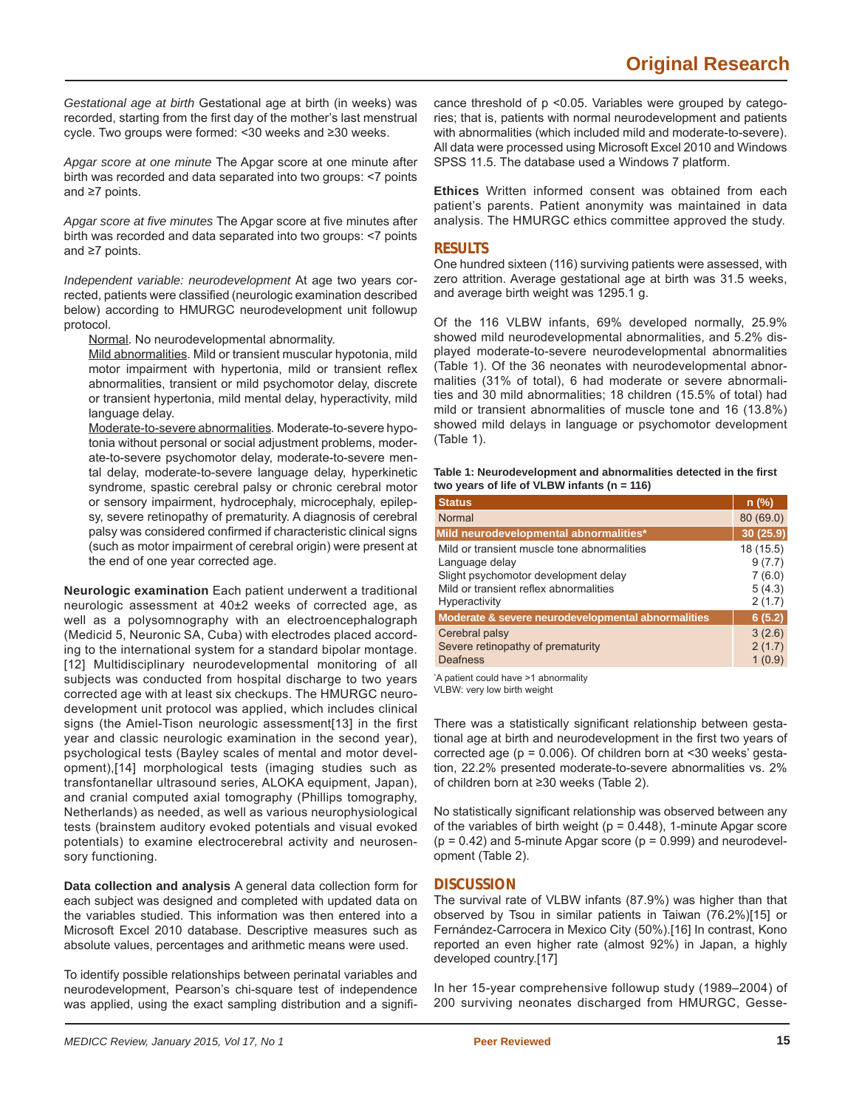*Gestational age at birth* Gestational age at birth (in weeks) was recorded, starting from the first day of the mother's last menstrual cycle. Two groups were formed: <30 weeks and ≥30 weeks.

*Apgar score at one minute* The Apgar score at one minute after birth was recorded and data separated into two groups: <7 points and ≥7 points.

Apgar score at five minutes The Apgar score at five minutes after birth was recorded and data separated into two groups: <7 points and ≥7 points.

*Independent variable: neurodevelopment* At age two years corrected, patients were classified (neurologic examination described below) according to HMURGC neurodevelopment unit followup protocol.

Normal. No neurodevelopmental abnormality.

Mild abnormalities. Mild or transient muscular hypotonia, mild motor impairment with hypertonia, mild or transient reflex abnormalities, transient or mild psychomotor delay, discrete or transient hypertonia, mild mental delay, hyperactivity, mild language delay.

Moderate-to-severe abnormalities*.* Moderate-to-severe hypotonia without personal or social adjustment problems, moderate-to-severe psychomotor delay, moderate-to-severe mental delay, moderate-to-severe language delay, hyperkinetic syndrome, spastic cerebral palsy or chronic cerebral motor or sensory impairment, hydrocephaly, microcephaly, epilepsy, severe retinopathy of prematurity. A diagnosis of cerebral palsy was considered confirmed if characteristic clinical signs (such as motor impairment of cerebral origin) were present at the end of one year corrected age.

**Neurologic examination** Each patient underwent a traditional neurologic assessment at 40±2 weeks of corrected age, as well as a polysomnography with an electroencephalograph (Medicid 5, Neuronic SA, Cuba) with electrodes placed according to the international system for a standard bipolar montage. [12] Multidisciplinary neurodevelopmental monitoring of all subjects was conducted from hospital discharge to two years corrected age with at least six checkups. The HMURGC neurodevelopment unit protocol was applied, which includes clinical signs (the Amiel-Tison neurologic assessment[13] in the first year and classic neurologic examination in the second year), psychological tests (Bayley scales of mental and motor development),[14] morphological tests (imaging studies such as transfontanellar ultrasound series, ALOKA equipment, Japan), and cranial computed axial tomography (Phillips tomography, Netherlands) as needed, as well as various neurophysiological tests (brainstem auditory evoked potentials and visual evoked potentials) to examine electrocerebral activity and neurosensory functioning.

**Data collection and analysis** A general data collection form for each subject was designed and completed with updated data on the variables studied. This information was then entered into a Microsoft Excel 2010 database. Descriptive measures such as absolute values, percentages and arithmetic means were used.

To identify possible relationships between perinatal variables and neurodevelopment, Pearson's chi-square test of independence was applied, using the exact sampling distribution and a signifi-

cance threshold of p <0.05. Variables were grouped by categories; that is, patients with normal neurodevelopment and patients with abnormalities (which included mild and moderate-to-severe). All data were processed using Microsoft Excel 2010 and Windows SPSS 11.5. The database used a Windows 7 platform.

**Ethices** Written informed consent was obtained from each patient's parents. Patient anonymity was maintained in data analysis. The HMURGC ethics committee approved the study.

# **RESULTS**

One hundred sixteen (116) surviving patients were assessed, with zero attrition. Average gestational age at birth was 31.5 weeks, and average birth weight was 1295.1 g.

Of the 116 VLBW infants, 69% developed normally, 25.9% showed mild neurodevelopmental abnormalities, and 5.2% displayed moderate-to-severe neurodevelopmental abnormalities (Table 1). Of the 36 neonates with neurodevelopmental abnormalities (31% of total), 6 had moderate or severe abnormalities and 30 mild abnormalities; 18 children (15.5% of total) had mild or transient abnormalities of muscle tone and 16 (13.8%) showed mild delays in language or psychomotor development (Table 1).

| Table 1: Neurodevelopment and abnormalities detected in the first |
|-------------------------------------------------------------------|
| two years of life of VLBW infants ( $n = 116$ )                   |

| <b>Status</b>                                      | $n$ (%)   |
|----------------------------------------------------|-----------|
| Normal                                             | 80(69.0)  |
| Mild neurodevelopmental abnormalities*             | 30(25.9)  |
| Mild or transient muscle tone abnormalities        | 18 (15.5) |
| Language delay                                     | 9(7.7)    |
| Slight psychomotor development delay               | 7(6.0)    |
| Mild or transient reflex abnormalities             | 5(4.3)    |
| <b>Hyperactivity</b>                               | 2(1.7)    |
| Moderate & severe neurodevelopmental abnormalities | 6(5.2)    |
| Cerebral palsy                                     | 3(2.6)    |
| Severe retinopathy of prematurity                  | 2(1.7)    |
| <b>Deafness</b>                                    | 1(0.9)    |

\* A patient could have >1 abnormality

VLBW: very low birth weight

There was a statistically significant relationship between gestational age at birth and neurodevelopment in the first two years of corrected age ( $p = 0.006$ ). Of children born at <30 weeks' gestation, 22.2% presented moderate-to-severe abnormalities vs. 2% of children born at ≥30 weeks (Table 2).

No statistically significant relationship was observed between any of the variables of birth weight ( $p = 0.448$ ), 1-minute Apgar score  $(p = 0.42)$  and 5-minute Apgar score  $(p = 0.999)$  and neurodevelopment (Table 2).

# **DISCUSSION**

The survival rate of VLBW infants (87.9%) was higher than that observed by Tsou in similar patients in Taiwan (76.2%)[15] or Fernández-Carrocera in Mexico City (50%).[16] In contrast, Kono reported an even higher rate (almost 92%) in Japan, a highly developed country.[17]

In her 15-year comprehensive followup study (1989–2004) of 200 surviving neonates discharged from HMURGC, Gesse-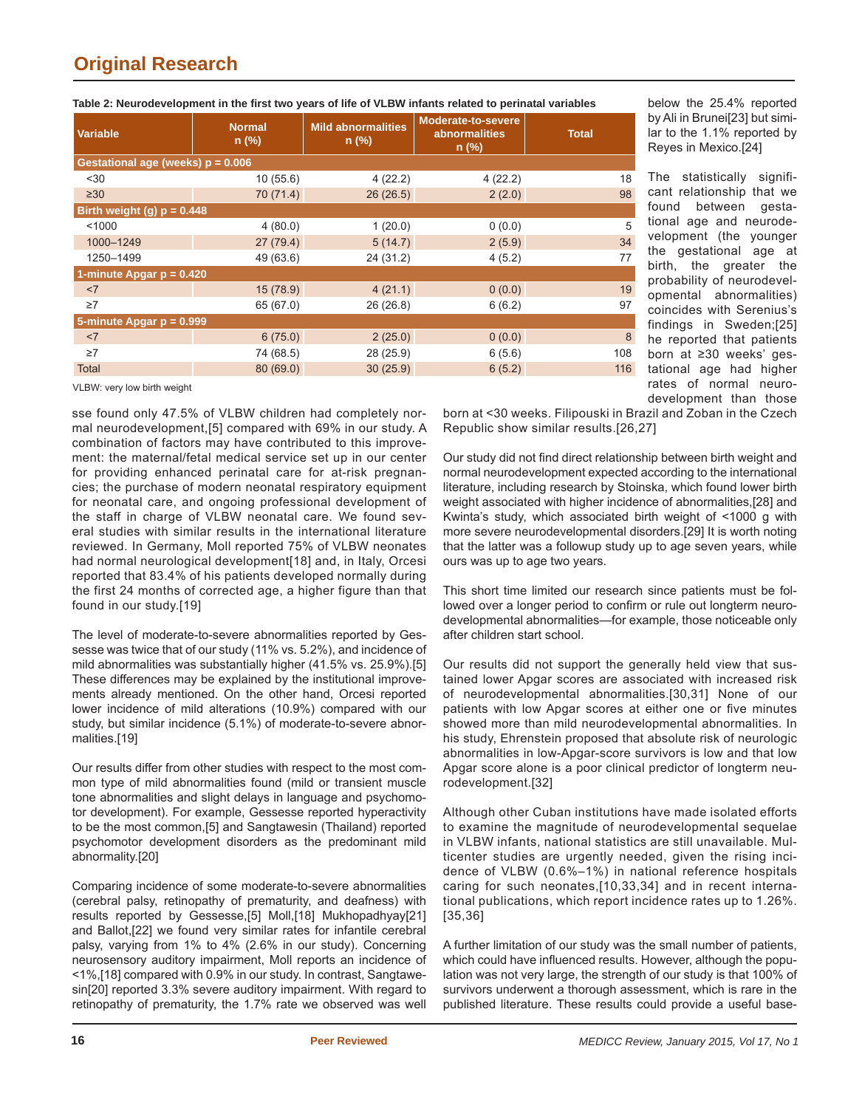| <b>Variable</b>                     | <b>Normal</b><br>$n$ (%) | <b>Mild abnormalities</b><br>$n$ (%) | Moderate-to-severe<br><b>abnormalities</b><br>$n$ (%) | <b>Total</b> |  |  |
|-------------------------------------|--------------------------|--------------------------------------|-------------------------------------------------------|--------------|--|--|
| Gestational age (weeks) $p = 0.006$ |                          |                                      |                                                       |              |  |  |
| $30$                                | 10(55.6)                 | 4(22.2)                              | 4(22.2)                                               | 18           |  |  |
| $\geq 30$                           | 70 (71.4)                | 26(26.5)                             | 2(2.0)                                                | 98           |  |  |
| Birth weight (g) $p = 0.448$        |                          |                                      |                                                       |              |  |  |
| < 1000                              | 4(80.0)                  | 1(20.0)                              | 0(0.0)                                                | 5            |  |  |
| 1000-1249                           | 27(79.4)                 | 5(14.7)                              | 2(5.9)                                                | 34           |  |  |
| 1250-1499                           | 49 (63.6)                | 24 (31.2)                            | 4(5.2)                                                | 77           |  |  |
| 1-minute Apgar $p = 0.420$          |                          |                                      |                                                       |              |  |  |
| <7                                  | 15(78.9)                 | 4(21.1)                              | 0(0.0)                                                | 19           |  |  |
| $\geq 7$                            | 65 (67.0)                | 26 (26.8)                            | 6(6.2)                                                | 97           |  |  |
| 5-minute Apgar $p = 0.999$          |                          |                                      |                                                       |              |  |  |
| <7                                  | 6(75.0)                  | 2(25.0)                              | 0(0.0)                                                | 8            |  |  |
| $\geq 7$                            | 74 (68.5)                | 28 (25.9)                            | 6(5.6)                                                | 108          |  |  |
| <b>Total</b>                        | 80(69.0)                 | 30(25.9)                             | 6(5.2)                                                | 116          |  |  |
|                                     |                          |                                      |                                                       |              |  |  |

#### Table 2: Neurodevelopment in the first two years of life of VLBW infants related to perinatal variables

VLBW: very low birth weight

sse found only 47.5% of VLBW children had completely normal neurodevelopment,[5] compared with 69% in our study. A combination of factors may have contributed to this improvement: the maternal/fetal medical service set up in our center for providing enhanced perinatal care for at-risk pregnancies; the purchase of modern neonatal respiratory equipment for neonatal care, and ongoing professional development of the staff in charge of VLBW neonatal care. We found several studies with similar results in the international literature reviewed. In Germany, Moll reported 75% of VLBW neonates had normal neurological development[18] and, in Italy, Orcesi reported that 83.4% of his patients developed normally during the first 24 months of corrected age, a higher figure than that found in our study.[19]

The level of moderate-to-severe abnormalities reported by Gessesse was twice that of our study (11% vs. 5.2%), and incidence of mild abnormalities was substantially higher (41.5% vs. 25.9%).[5] These differences may be explained by the institutional improvements already mentioned. On the other hand, Orcesi reported lower incidence of mild alterations (10.9%) compared with our study, but similar incidence (5.1%) of moderate-to-severe abnormalities.[19]

Our results differ from other studies with respect to the most common type of mild abnormalities found (mild or transient muscle tone abnormalities and slight delays in language and psychomotor development). For example, Gessesse reported hyperactivity to be the most common,[5] and Sangtawesin (Thailand) reported psychomotor development disorders as the predominant mild abnormality.[20]

Comparing incidence of some moderate-to-severe abnormalities (cerebral palsy, retinopathy of prematurity, and deafness) with results reported by Gessesse,[5] Moll,[18] Mukhopadhyay[21] and Ballot,[22] we found very similar rates for infantile cerebral palsy, varying from 1% to 4% (2.6% in our study). Concerning neurosensory auditory impairment, Moll reports an incidence of <1%,[18] compared with 0.9% in our study. In contrast, Sangtawesin[20] reported 3.3% severe auditory impairment. With regard to retinopathy of prematurity, the 1.7% rate we observed was well

below the 25.4% reported by Ali in Brunei[23] but similar to the 1.1% reported by Reyes in Mexico.[24]

The statistically significant relationship that we found between gestational age and neurodevelopment (the younger the gestational age at birth, the greater the probability of neurodevelopmental abnormalities) coincides with Serenius's findings in Sweden;[25] he reported that patients born at ≥30 weeks' gestational age had higher rates of normal neurodevelopment than those

born at <30 weeks. Filipouski in Brazil and Zoban in the Czech Republic show similar results.[26,27]

Our study did not find direct relationship between birth weight and normal neurodevelopment expected according to the international literature, including research by Stoinska, which found lower birth weight associated with higher incidence of abnormalities,[28] and Kwinta's study, which associated birth weight of <1000 g with more severe neurodevelopmental disorders.[29] It is worth noting that the latter was a followup study up to age seven years, while ours was up to age two years.

This short time limited our research since patients must be followed over a longer period to confirm or rule out longterm neurodevelopmental abnormalities—for example, those noticeable only after children start school.

Our results did not support the generally held view that sustained lower Apgar scores are associated with increased risk of neurodevelopmental abnormalities.[30,31] None of our patients with low Apgar scores at either one or five minutes showed more than mild neurodevelopmental abnormalities. In his study, Ehrenstein proposed that absolute risk of neurologic abnormalities in low-Apgar-score survivors is low and that low Apgar score alone is a poor clinical predictor of longterm neurodevelopment.[32]

Although other Cuban institutions have made isolated efforts to examine the magnitude of neurodevelopmental sequelae in VLBW infants, national statistics are still unavailable. Multicenter studies are urgently needed, given the rising incidence of VLBW (0.6%–1%) in national reference hospitals caring for such neonates,[10,33,34] and in recent international publications, which report incidence rates up to 1.26%. [35,36]

A further limitation of our study was the small number of patients, which could have influenced results. However, although the population was not very large, the strength of our study is that 100% of survivors underwent a thorough assessment, which is rare in the published literature. These results could provide a useful base